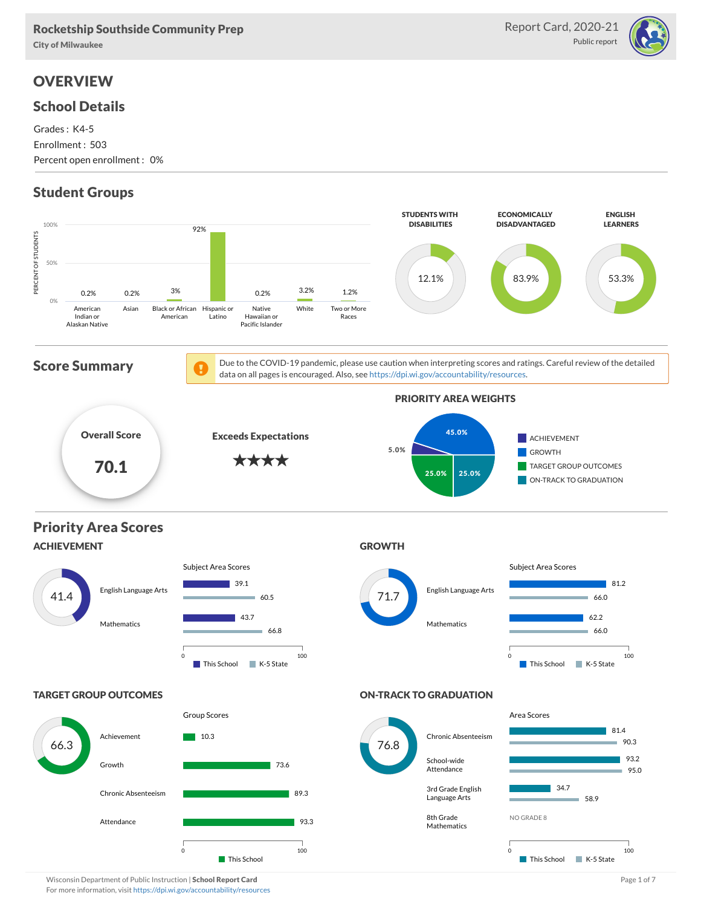### Rocketship Southside Community Prep

City of Milwaukee

# **OVERVIEW**

### School Details

Grades : K4-5 Enrollment : 503 Percent open enrollment : 0%

# Student Groups



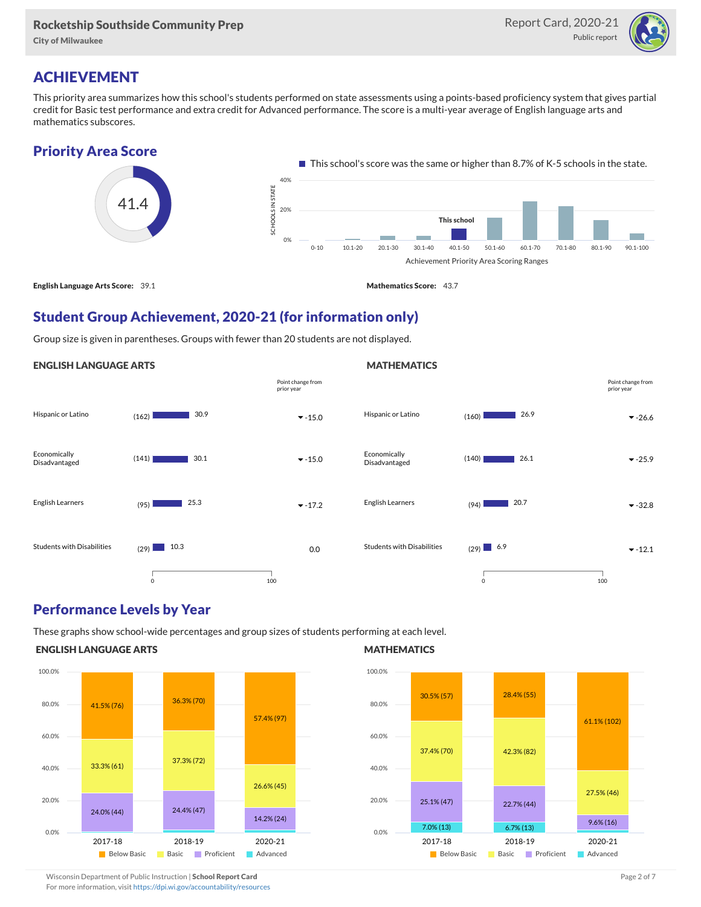#### Rocketship Southside Community Prep

City of Milwaukee



# ACHIEVEMENT

This priority area summarizes how this school's students performed on state assessments using a points-based proficiency system that gives partial credit for Basic test performance and extra credit for Advanced performance. The score is a multi-year average of English language arts and mathematics subscores.



# Student Group Achievement, 2020-21 (for information only)

Group size is given in parentheses. Groups with fewer than 20 students are not displayed.

### ENGLISH LANGUAGE ARTS



### Performance Levels by Year

These graphs show school-wide percentages and group sizes of students performing at each level.

### ENGLISH LANGUAGE ARTS



#### **MATHEMATICS**

**MATHEMATICS** 



Wisconsin Department of Public Instruction | School Report Card Page 2 of 7 and 2008 and 2009 and 2 of 7 and 2 of 7

For more information, visit <https://dpi.wi.gov/accountability/resources>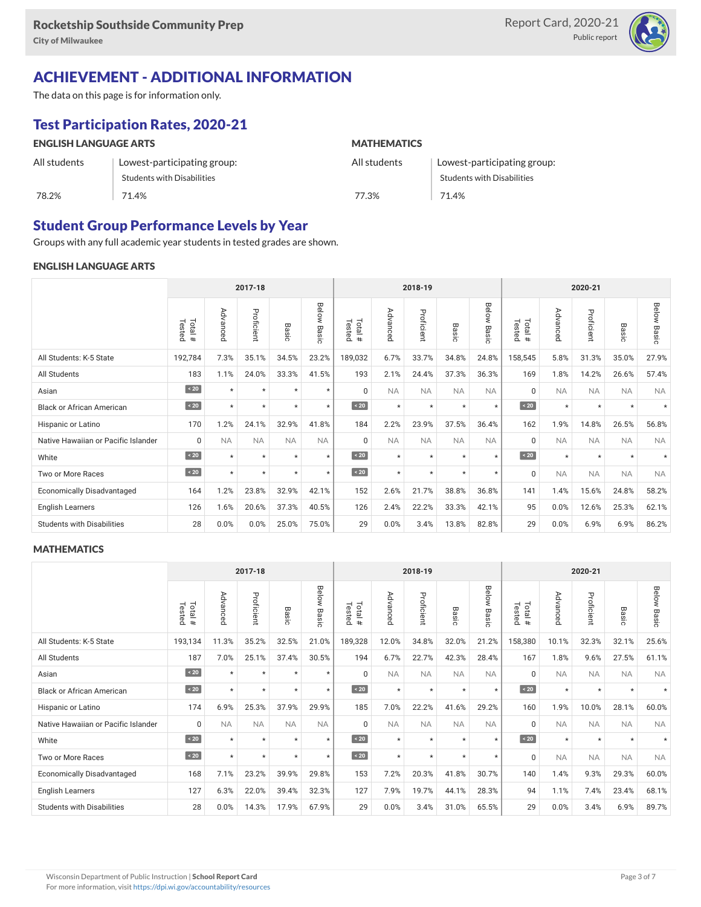

# ACHIEVEMENT - ADDITIONAL INFORMATION

The data on this page is for information only.

# Test Participation Rates, 2020-21

| <b>ENGLISH LANGUAGE ARTS</b> |                                   | <b>MATHEMATICS</b> |                             |  |  |  |  |  |
|------------------------------|-----------------------------------|--------------------|-----------------------------|--|--|--|--|--|
| All students                 | Lowest-participating group:       | All students       | Lowest-participating group: |  |  |  |  |  |
|                              | <b>Students with Disabilities</b> |                    | Students with Disabilities  |  |  |  |  |  |
| 78.2%                        | 71.4%                             | 77.3%              | 71.4%                       |  |  |  |  |  |

### Student Group Performance Levels by Year

Groups with any full academic year students in tested grades are shown.

#### ENGLISH LANGUAGE ARTS

|                                     |                  |           | 2017-18    |           |                |                   |           | 2018-19    |           |                |                      |                       | 2020-21    |           |                |  |  |  |
|-------------------------------------|------------------|-----------|------------|-----------|----------------|-------------------|-----------|------------|-----------|----------------|----------------------|-----------------------|------------|-----------|----------------|--|--|--|
|                                     | Total#<br>Tested | Advanced  | Proficient | Basic     | Below<br>Basic | Total #<br>Tested | Advanced  | Proficient | Basic     | Below<br>Basic | Total<br>Tested<br># | Adval<br>ā<br>õ<br>Ö. | Proficient | Basic     | Below<br>Basic |  |  |  |
| All Students: K-5 State             | 192,784          | 7.3%      | 35.1%      | 34.5%     | 23.2%          | 189,032           | 6.7%      | 33.7%      | 34.8%     | 24.8%          | 158,545              | 5.8%                  | 31.3%      | 35.0%     | 27.9%          |  |  |  |
| All Students                        | 183              | 1.1%      | 24.0%      | 33.3%     | 41.5%          | 193               | 2.1%      | 24.4%      | 37.3%     | 36.3%          | 169                  | 1.8%                  | 14.2%      | 26.6%     | 57.4%          |  |  |  |
| Asian                               | $\sim 20$        | $\star$   | $\star$    | $\star$   | $\star$        | $\Omega$          | <b>NA</b> | <b>NA</b>  | <b>NA</b> | <b>NA</b>      | $\Omega$             | <b>NA</b>             | <b>NA</b>  | <b>NA</b> | <b>NA</b>      |  |  |  |
| <b>Black or African American</b>    | $\angle 20$      | $\star$   | $\star$    | $\star$   | $\star$        | $\sim 20$         | $\star$   | $^\star$   | $\star$   | $\star$        | $\sim 20$            | $\star$               | $\star$    | $\star$   |                |  |  |  |
| Hispanic or Latino                  | 170              | 1.2%      | 24.1%      | 32.9%     | 41.8%          | 184               | 2.2%      | 23.9%      | 37.5%     | 36.4%          | 162                  | 1.9%                  | 14.8%      | 26.5%     | 56.8%          |  |  |  |
| Native Hawaiian or Pacific Islander | 0                | <b>NA</b> | <b>NA</b>  | <b>NA</b> | <b>NA</b>      | $\Omega$          | <b>NA</b> | <b>NA</b>  | <b>NA</b> | <b>NA</b>      | $\mathbf 0$          | <b>NA</b>             | <b>NA</b>  | <b>NA</b> | <b>NA</b>      |  |  |  |
| White                               | $\sim 20$        | $\star$   | $\star$    | $\star$   | $\star$        | $\sim 20$         | $\star$   | $\star$    | $\star$   | $\star$        | $\sim 20$            | $\star$               | $\star$    | $\star$   |                |  |  |  |
| Two or More Races                   | $\sim 20$        | $\star$   | $\star$    | $\star$   | $\star$        | $\sim 20$         | $\star$   | $\star$    | $\star$   | $\star$        | $\mathbf 0$          | <b>NA</b>             | <b>NA</b>  | <b>NA</b> | <b>NA</b>      |  |  |  |
| <b>Economically Disadvantaged</b>   | 164              | 1.2%      | 23.8%      | 32.9%     | 42.1%          | 152               | 2.6%      | 21.7%      | 38.8%     | 36.8%          | 141                  | 1.4%                  | 15.6%      | 24.8%     | 58.2%          |  |  |  |
| <b>English Learners</b>             | 126              | 1.6%      | 20.6%      | 37.3%     | 40.5%          | 126               | 2.4%      | 22.2%      | 33.3%     | 42.1%          | 95                   | 0.0%                  | 12.6%      | 25.3%     | 62.1%          |  |  |  |
| <b>Students with Disabilities</b>   | 28               | 0.0%      | 0.0%       | 25.0%     | 75.0%          | 29                | 0.0%      | 3.4%       | 13.8%     | 82.8%          | 29                   | 0.0%                  | 6.9%       | 6.9%      | 86.2%          |  |  |  |

#### **MATHEMATICS**

|                                     |                  |           | 2017-18    |           |                |                   |           | 2018-19    |                 |                |                      |                                                    | 2020-21    |           |                |  |  |  |
|-------------------------------------|------------------|-----------|------------|-----------|----------------|-------------------|-----------|------------|-----------------|----------------|----------------------|----------------------------------------------------|------------|-----------|----------------|--|--|--|
|                                     | Total#<br>Tested | Advanced  | Proficient | Basic     | Below<br>Basic | Tested<br>Total # | Advanced  | Proficient | Basi<br>$\circ$ | Below<br>Basic | Total<br>Tested<br># | Adva<br>Б<br>$\bar{\circ}$<br><b>D</b><br>$\Omega$ | Proficient | Basic     | Below<br>Basic |  |  |  |
| All Students: K-5 State             | 193,134          | 11.3%     | 35.2%      | 32.5%     | 21.0%          | 189,328           | 12.0%     | 34.8%      | 32.0%           | 21.2%          | 158,380              | 10.1%                                              | 32.3%      | 32.1%     | 25.6%          |  |  |  |
| All Students                        | 187              | 7.0%      | 25.1%      | 37.4%     | 30.5%          | 194               | 6.7%      | 22.7%      | 42.3%           | 28.4%          | 167                  | 1.8%                                               | 9.6%       | 27.5%     | 61.1%          |  |  |  |
| Asian                               | $\angle 20$      | $\star$   | $\star$    | $\star$   | $\star$        | $\Omega$          | <b>NA</b> | <b>NA</b>  | <b>NA</b>       | <b>NA</b>      | $\Omega$             | <b>NA</b>                                          | <b>NA</b>  | <b>NA</b> | <b>NA</b>      |  |  |  |
| <b>Black or African American</b>    | $\angle 20$      | $\star$   | $\star$    | $\star$   | $\star$        | $\sim 20$         | $\star$   | $^\star$   | $\star$         | $\star$        | $\sim 20$            | $\star$                                            | $\star$    | $\star$   |                |  |  |  |
| Hispanic or Latino                  | 174              | 6.9%      | 25.3%      | 37.9%     | 29.9%          | 185               | 7.0%      | 22.2%      | 41.6%           | 29.2%          | 160                  | 1.9%                                               | 10.0%      | 28.1%     | 60.0%          |  |  |  |
| Native Hawaiian or Pacific Islander | 0                | <b>NA</b> | <b>NA</b>  | <b>NA</b> | <b>NA</b>      | $\mathbf 0$       | <b>NA</b> | <b>NA</b>  | <b>NA</b>       | <b>NA</b>      | $\mathbf 0$          | <b>NA</b>                                          | <b>NA</b>  | <b>NA</b> | <b>NA</b>      |  |  |  |
| White                               | $\sim 20$        | $\star$   | $\star$    | $\star$   | $\star$        | $\sim 20$         | $\star$   | $^\star$   | $\star$         | $\star$        | $\sim 20$            | $\star$                                            | $\star$    | $\star$   |                |  |  |  |
| Two or More Races                   | $\sim 20$        | $\star$   | $\star$    | $\star$   | $\star$        | $\angle 20$       | $\star$   | $\star$    | $\star$         | $\star$        | $\mathbf 0$          | <b>NA</b>                                          | <b>NA</b>  | <b>NA</b> | <b>NA</b>      |  |  |  |
| <b>Economically Disadvantaged</b>   | 168              | 7.1%      | 23.2%      | 39.9%     | 29.8%          | 153               | 7.2%      | 20.3%      | 41.8%           | 30.7%          | 140                  | 1.4%                                               | 9.3%       | 29.3%     | 60.0%          |  |  |  |
| <b>English Learners</b>             | 127              | 6.3%      | 22.0%      | 39.4%     | 32.3%          | 127               | 7.9%      | 19.7%      | 44.1%           | 28.3%          | 94                   | 1.1%                                               | 7.4%       | 23.4%     | 68.1%          |  |  |  |
| <b>Students with Disabilities</b>   | 28               | 0.0%      | 14.3%      | 17.9%     | 67.9%          | 29                | 0.0%      | 3.4%       | 31.0%           | 65.5%          | 29                   | 0.0%                                               | 3.4%       | 6.9%      | 89.7%          |  |  |  |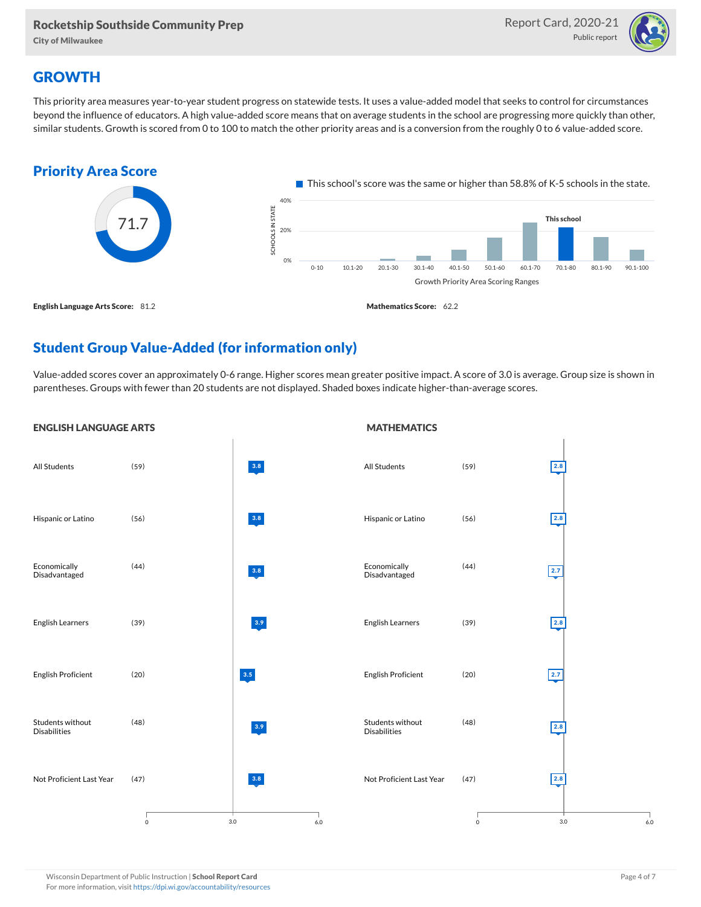City of Milwaukee



# **GROWTH**

This priority area measures year-to-year student progress on statewide tests. It uses a value-added model that seeks to control for circumstances beyond the influence of educators. A high value-added score means that on average students in the school are progressing more quickly than other, similar students. Growth is scored from 0 to 100 to match the other priority areas and is a conversion from the roughly 0 to 6 value-added score.



# Student Group Value-Added (for information only)

Value-added scores cover an approximately 0-6 range. Higher scores mean greater positive impact. A score of 3.0 is average. Group size is shown in parentheses. Groups with fewer than 20 students are not displayed. Shaded boxes indicate higher-than-average scores.

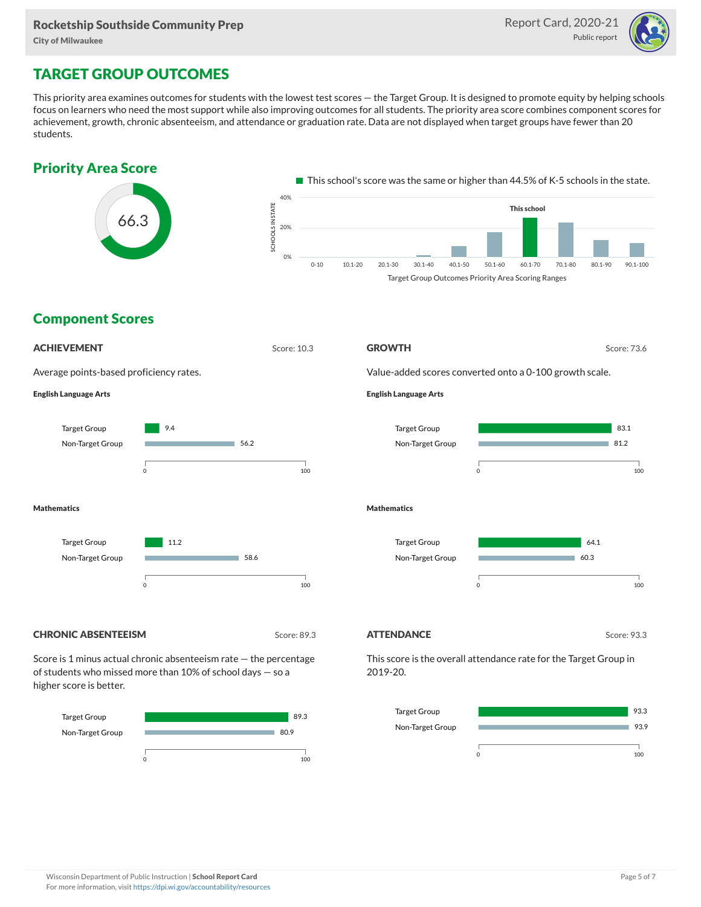

# TARGET GROUP OUTCOMES

This priority area examines outcomes for students with the lowest test scores — the Target Group. It is designed to promote equity by helping schools focus on learners who need the most support while also improving outcomes for all students. The priority area score combines component scores for achievement, growth, chronic absenteeism, and attendance or graduation rate. Data are not displayed when target groups have fewer than 20 students.





# Target Group Non-Target Group



93.3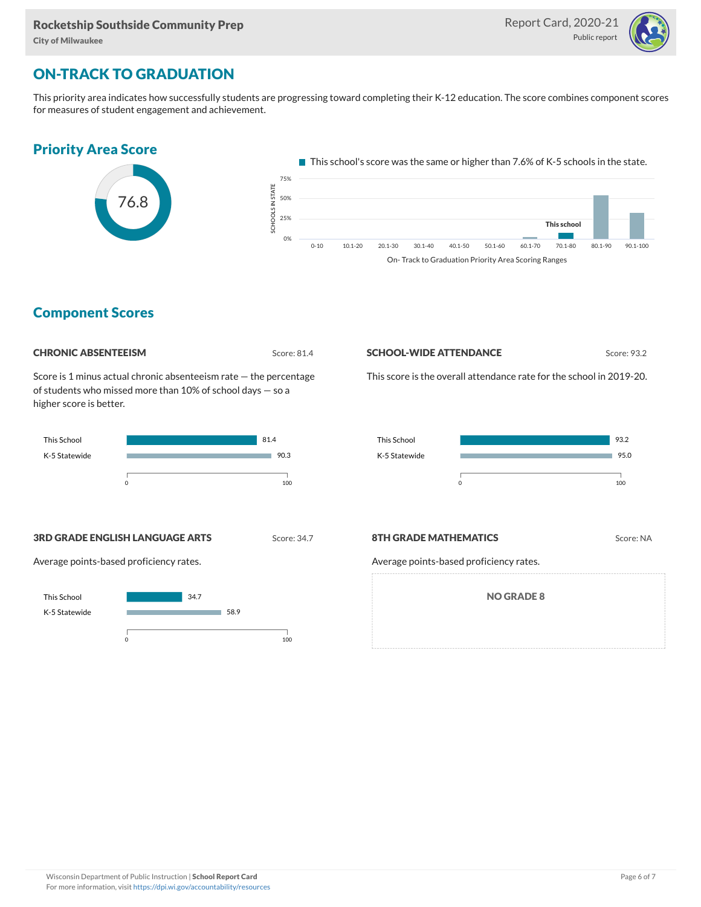

# ON-TRACK TO GRADUATION

This priority area indicates how successfully students are progressing toward completing their K-12 education. The score combines component scores for measures of student engagement and achievement.



### Component Scores